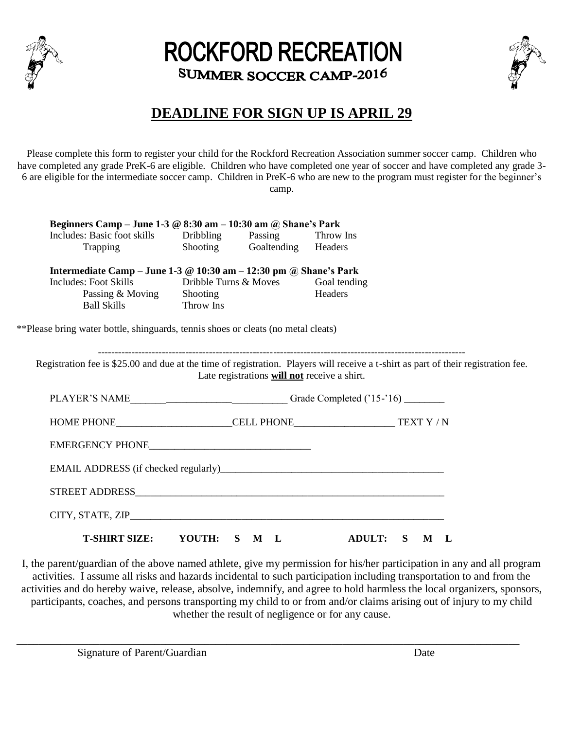

# **ROCKFORD RECREATION** SUMMER SOCCER CAMP-2016



## **DEADLINE FOR SIGN UP IS APRIL 29**

Please complete this form to register your child for the Rockford Recreation Association summer soccer camp. Children who have completed any grade PreK-6 are eligible. Children who have completed one year of soccer and have completed any grade 3-6 are eligible for the intermediate soccer camp. Children in PreK-6 who are new to the program must register for the beginner's camp.

| Includes: Basic foot skills<br>Trapping                                           | Dribbling             | Passing Throw Ins<br>Shooting Goaltending Headers |                         |                                                                                                                                    |
|-----------------------------------------------------------------------------------|-----------------------|---------------------------------------------------|-------------------------|------------------------------------------------------------------------------------------------------------------------------------|
|                                                                                   |                       |                                                   |                         |                                                                                                                                    |
| Intermediate Camp - June 1-3 $\omega$ 10:30 am - 12:30 pm $\omega$ Shane's Park   |                       |                                                   |                         |                                                                                                                                    |
| Includes: Foot Skills                                                             | Dribble Turns & Moves |                                                   | Goal tending<br>Headers |                                                                                                                                    |
| Passing & Moving Shooting<br>Ball Skills Throw Ins                                |                       |                                                   |                         |                                                                                                                                    |
| **Please bring water bottle, shinguards, tennis shoes or cleats (no metal cleats) |                       |                                                   |                         |                                                                                                                                    |
|                                                                                   |                       |                                                   |                         |                                                                                                                                    |
|                                                                                   |                       | Late registrations will not receive a shirt.      |                         | Registration fee is \$25.00 and due at the time of registration. Players will receive a t-shirt as part of their registration fee. |
|                                                                                   |                       |                                                   |                         |                                                                                                                                    |
|                                                                                   |                       |                                                   |                         |                                                                                                                                    |
|                                                                                   |                       |                                                   |                         |                                                                                                                                    |
| EMAIL ADDRESS (if checked regularly)                                              |                       |                                                   |                         |                                                                                                                                    |
|                                                                                   |                       |                                                   |                         |                                                                                                                                    |

I, the parent/guardian of the above named athlete, give my permission for his/her participation in any and all program activities. I assume all risks and hazards incidental to such participation including transportation to and from the activities and do hereby waive, release, absolve, indemnify, and agree to hold harmless the local organizers, sponsors, participants, coaches, and persons transporting my child to or from and/or claims arising out of injury to my child whether the result of negligence or for any cause.

\_\_\_\_\_\_\_\_\_\_\_\_\_\_\_\_\_\_\_\_\_\_\_\_\_\_\_\_\_\_\_\_\_\_\_\_\_\_\_\_\_\_\_\_\_\_\_\_\_\_\_\_\_\_\_\_\_\_\_\_\_\_\_\_\_\_\_\_\_\_\_\_\_\_\_\_\_\_\_\_\_\_\_\_\_\_\_\_\_\_\_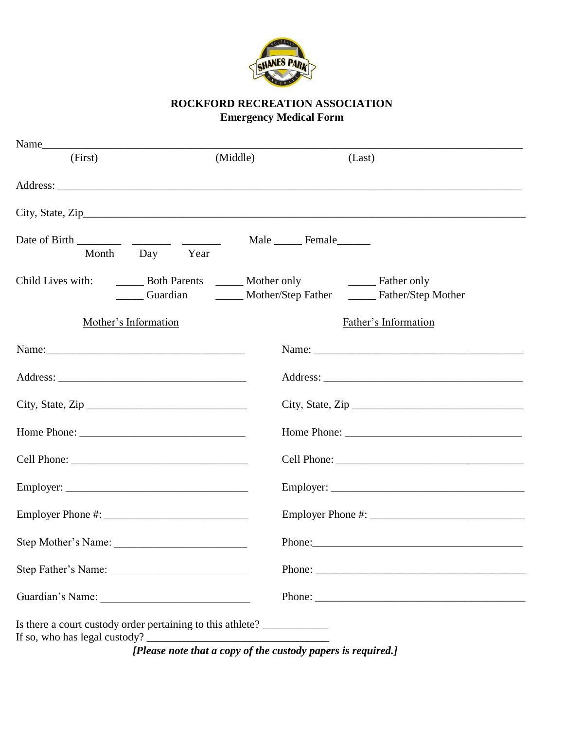

### **ROCKFORD RECREATION ASSOCIATION Emergency Medical Form**

| (First)                                                                                                        | (Middle)                                            | (Last)                                                                                                                                                                                                                         |  |  |
|----------------------------------------------------------------------------------------------------------------|-----------------------------------------------------|--------------------------------------------------------------------------------------------------------------------------------------------------------------------------------------------------------------------------------|--|--|
|                                                                                                                |                                                     |                                                                                                                                                                                                                                |  |  |
|                                                                                                                |                                                     |                                                                                                                                                                                                                                |  |  |
| Month<br>Day Year                                                                                              |                                                     | Male ________ Female________                                                                                                                                                                                                   |  |  |
| Child Lives with:                                                                                              | <b>EXAMPLE 19 Both Parents League 2</b> Mother only | Guardian ________ Mother/Step Father _______ Father/Step Mother                                                                                                                                                                |  |  |
| Mother's Information                                                                                           |                                                     | Father's Information                                                                                                                                                                                                           |  |  |
| Name: 2008. [2016] Name: 2008. [2016] Name: 2008. [2016] Name: 2008. [2016] Name: 2008. [2016] Name: 2008. [20 |                                                     |                                                                                                                                                                                                                                |  |  |
|                                                                                                                |                                                     |                                                                                                                                                                                                                                |  |  |
|                                                                                                                |                                                     |                                                                                                                                                                                                                                |  |  |
|                                                                                                                |                                                     |                                                                                                                                                                                                                                |  |  |
|                                                                                                                |                                                     |                                                                                                                                                                                                                                |  |  |
|                                                                                                                |                                                     |                                                                                                                                                                                                                                |  |  |
|                                                                                                                |                                                     |                                                                                                                                                                                                                                |  |  |
| Step Mother's Name:                                                                                            |                                                     | Phone: 2008 Phone: 2008 Phone: 2008 Phone: 2008 Phone: 2008 Phone: 2008 Phone: 2008 Phone: 2008 Phone: 2008 Phone: 2008 Phone: 2008 Phone: 2008 Phone: 2008 Phone: 2008 Phone: 2008 Phone: 2008 Phone: 2008 Phone: 2008 Phone: |  |  |
|                                                                                                                |                                                     |                                                                                                                                                                                                                                |  |  |
| Guardian's Name:                                                                                               |                                                     |                                                                                                                                                                                                                                |  |  |
| Is there a court custody order pertaining to this athlete? _____________                                       |                                                     |                                                                                                                                                                                                                                |  |  |

 *[Please note that a copy of the custody papers is required.]*